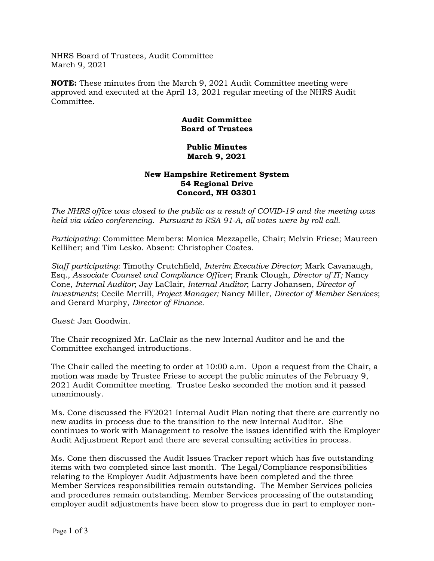NHRS Board of Trustees, Audit Committee March 9, 2021

**NOTE:** These minutes from the March 9, 2021 Audit Committee meeting were approved and executed at the April 13, 2021 regular meeting of the NHRS Audit Committee.

## **Audit Committee Board of Trustees**

## **Public Minutes March 9, 2021**

## **New Hampshire Retirement System 54 Regional Drive Concord, NH 03301**

*The NHRS office was closed to the public as a result of COVID-19 and the meeting was held via video conferencing. Pursuant to RSA 91-A, all votes were by roll call.*

*Participating:* Committee Members: Monica Mezzapelle, Chair; Melvin Friese; Maureen Kelliher; and Tim Lesko. Absent: Christopher Coates.

*Staff participating*: Timothy Crutchfield, *Interim Executive Director*; Mark Cavanaugh, Esq., *Associate Counsel and Compliance Officer*; Frank Clough, *Director of IT;* Nancy Cone, *Internal Auditor*; Jay LaClair, *Internal Auditor*; Larry Johansen, *Director of Investments*; Cecile Merrill, *Project Manager;* Nancy Miller, *Director of Member Services*; and Gerard Murphy, *Director of Finance*.

*Guest*: Jan Goodwin.

The Chair recognized Mr. LaClair as the new Internal Auditor and he and the Committee exchanged introductions.

The Chair called the meeting to order at 10:00 a.m. Upon a request from the Chair, a motion was made by Trustee Friese to accept the public minutes of the February 9, 2021 Audit Committee meeting. Trustee Lesko seconded the motion and it passed unanimously.

Ms. Cone discussed the FY2021 Internal Audit Plan noting that there are currently no new audits in process due to the transition to the new Internal Auditor. She continues to work with Management to resolve the issues identified with the Employer Audit Adjustment Report and there are several consulting activities in process.

Ms. Cone then discussed the Audit Issues Tracker report which has five outstanding items with two completed since last month. The Legal/Compliance responsibilities relating to the Employer Audit Adjustments have been completed and the three Member Services responsibilities remain outstanding. The Member Services policies and procedures remain outstanding. Member Services processing of the outstanding employer audit adjustments have been slow to progress due in part to employer non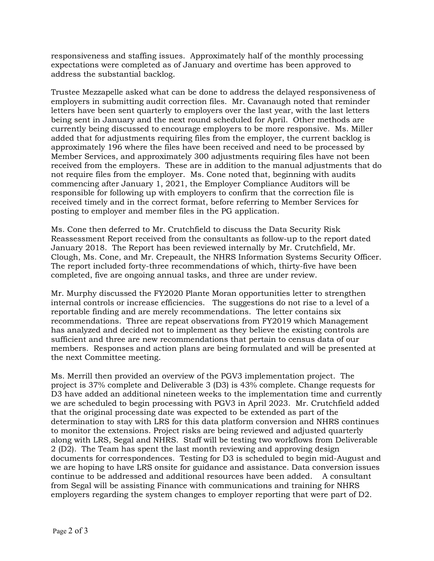responsiveness and staffing issues. Approximately half of the monthly processing expectations were completed as of January and overtime has been approved to address the substantial backlog.

Trustee Mezzapelle asked what can be done to address the delayed responsiveness of employers in submitting audit correction files. Mr. Cavanaugh noted that reminder letters have been sent quarterly to employers over the last year, with the last letters being sent in January and the next round scheduled for April. Other methods are currently being discussed to encourage employers to be more responsive. Ms. Miller added that for adjustments requiring files from the employer, the current backlog is approximately 196 where the files have been received and need to be processed by Member Services, and approximately 300 adjustments requiring files have not been received from the employers. These are in addition to the manual adjustments that do not require files from the employer. Ms. Cone noted that, beginning with audits commencing after January 1, 2021, the Employer Compliance Auditors will be responsible for following up with employers to confirm that the correction file is received timely and in the correct format, before referring to Member Services for posting to employer and member files in the PG application.

Ms. Cone then deferred to Mr. Crutchfield to discuss the Data Security Risk Reassessment Report received from the consultants as follow-up to the report dated January 2018. The Report has been reviewed internally by Mr. Crutchfield, Mr. Clough, Ms. Cone, and Mr. Crepeault, the NHRS Information Systems Security Officer. The report included forty-three recommendations of which, thirty-five have been completed, five are ongoing annual tasks, and three are under review.

Mr. Murphy discussed the FY2020 Plante Moran opportunities letter to strengthen internal controls or increase efficiencies. The suggestions do not rise to a level of a reportable finding and are merely recommendations. The letter contains six recommendations. Three are repeat observations from FY2019 which Management has analyzed and decided not to implement as they believe the existing controls are sufficient and three are new recommendations that pertain to census data of our members. Responses and action plans are being formulated and will be presented at the next Committee meeting.

Ms. Merrill then provided an overview of the PGV3 implementation project. The project is 37% complete and Deliverable 3 (D3) is 43% complete. Change requests for D3 have added an additional nineteen weeks to the implementation time and currently we are scheduled to begin processing with PGV3 in April 2023. Mr. Crutchfield added that the original processing date was expected to be extended as part of the determination to stay with LRS for this data platform conversion and NHRS continues to monitor the extensions. Project risks are being reviewed and adjusted quarterly along with LRS, Segal and NHRS. Staff will be testing two workflows from Deliverable 2 (D2). The Team has spent the last month reviewing and approving design documents for correspondences. Testing for D3 is scheduled to begin mid-August and we are hoping to have LRS onsite for guidance and assistance. Data conversion issues continue to be addressed and additional resources have been added. A consultant from Segal will be assisting Finance with communications and training for NHRS employers regarding the system changes to employer reporting that were part of D2.